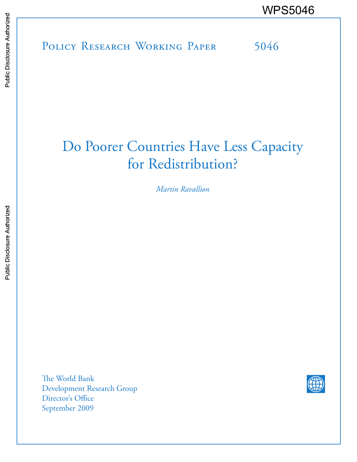POLICY RESEARCH WORKING PAPER 5046 WPS5046

# Do Poorer Countries Have Less Capacity for Redistribution?

*Martin Ravallion*

The World Bank Development Research Group Director's Office September 2009

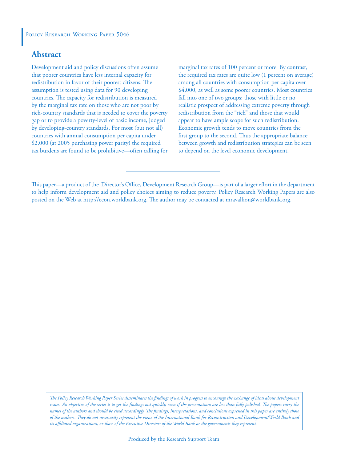## **Abstract**

Development aid and policy discussions often assume that poorer countries have less internal capacity for redistribution in favor of their poorest citizens. The assumption is tested using data for 90 developing countries. The capacity for redistribution is measured by the marginal tax rate on those who are not poor by rich-country standards that is needed to cover the poverty gap or to provide a poverty-level of basic income, judged by developing-country standards. For most (but not all) countries with annual consumption per capita under \$2,000 (at 2005 purchasing power parity) the required tax burdens are found to be prohibitive—often calling for marginal tax rates of 100 percent or more. By contrast, the required tax rates are quite low (1 percent on average) among all countries with consumption per capita over \$4,000, as well as some poorer countries. Most countries fall into one of two groups: those with little or no realistic prospect of addressing extreme poverty through redistribution from the "rich" and those that would appear to have ample scope for such redistribution. Economic growth tends to move countries from the first group to the second. Thus the appropriate balance between growth and redistribution strategies can be seen to depend on the level economic development.

*The Policy Research Working Paper Series disseminates the findings of work in progress to encourage the exchange of ideas about development*  issues. An objective of the series is to get the findings out quickly, even if the presentations are less than fully polished. The papers carry the *names of the authors and should be cited accordingly. The findings, interpretations, and conclusions expressed in this paper are entirely those of the authors. They do not necessarily represent the views of the International Bank for Reconstruction and Development/World Bank and its affiliated organizations, or those of the Executive Directors of the World Bank or the governments they represent.*

This paper—a product of the Director's Office, Development Research Group—is part of a larger effort in the department to help inform development aid and policy choices aiming to reduce poverty. Policy Research Working Papers are also posted on the Web at http://econ.worldbank.org. The author may be contacted at mravallion@worldbank.org.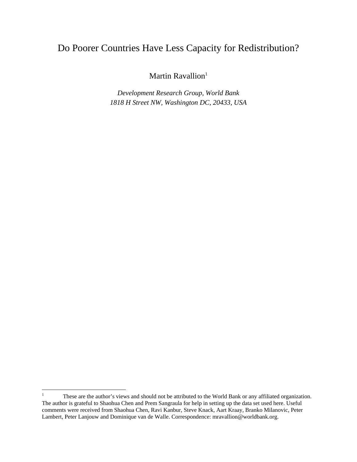# Do Poorer Countries Have Less Capacity for Redistribution?

Martin Ravallion<sup>1</sup>

*Development Research Group, World Bank 1818 H Street NW, Washington DC, 20433, USA* 

 $\frac{1}{1}$  These are the author's views and should not be attributed to the World Bank or any affiliated organization. The author is grateful to Shaohua Chen and Prem Sangraula for help in setting up the data set used here. Useful comments were received from Shaohua Chen, Ravi Kanbur, Steve Knack, Aart Kraay, Branko Milanovic, Peter Lambert, Peter Lanjouw and Dominique van de Walle. Correspondence: mravallion@worldbank.org.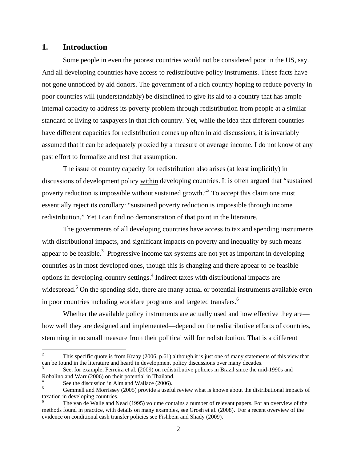#### **1. Introduction**

Some people in even the poorest countries would not be considered poor in the US, say. And all developing countries have access to redistributive policy instruments. These facts have not gone unnoticed by aid donors. The government of a rich country hoping to reduce poverty in poor countries will (understandably) be disinclined to give its aid to a country that has ample internal capacity to address its poverty problem through redistribution from people at a similar standard of living to taxpayers in that rich country. Yet, while the idea that different countries have different capacities for redistribution comes up often in aid discussions, it is invariably assumed that it can be adequately proxied by a measure of average income. I do not know of any past effort to formalize and test that assumption.

The issue of country capacity for redistribution also arises (at least implicitly) in discussions of development policy within developing countries. It is often argued that "sustained poverty reduction is impossible without sustained growth."<sup>2</sup> To accept this claim one must essentially reject its corollary: "sustained poverty reduction is impossible through income redistribution." Yet I can find no demonstration of that point in the literature.

The governments of all developing countries have access to tax and spending instruments with distributional impacts, and significant impacts on poverty and inequality by such means appear to be feasible.<sup>3</sup> Progressive income tax systems are not yet as important in developing countries as in most developed ones, though this is changing and there appear to be feasible options in developing-country settings.<sup>4</sup> Indirect taxes with distributional impacts are widespread.<sup>5</sup> On the spending side, there are many actual or potential instruments available even in poor countries including workfare programs and targeted transfers.<sup>6</sup>

Whether the available policy instruments are actually used and how effective they are how well they are designed and implemented—depend on the redistributive efforts of countries, stemming in no small measure from their political will for redistribution. That is a different

 $\overline{a}$ 

<sup>2</sup> This specific quote is from Kraay (2006, p.61) although it is just one of many statements of this view that can be found in the literature and heard in development policy discussions over many decades.

<sup>3</sup> See, for example, Ferreira et al. (2009) on redistributive policies in Brazil since the mid-1990s and Robalino and Warr (2006) on their potential in Thailand.

<sup>4</sup> See the discussion in Alm and Wallace (2006).

<sup>5</sup> Gemmell and Morrissey (2005) provide a useful review what is known about the distributional impacts of taxation in developing countries.

<sup>6</sup> The van de Walle and Nead (1995) volume contains a number of relevant papers. For an overview of the methods found in practice, with details on many examples, see Grosh et al. (2008). For a recent overview of the evidence on conditional cash transfer policies see Fishbein and Shady (2009).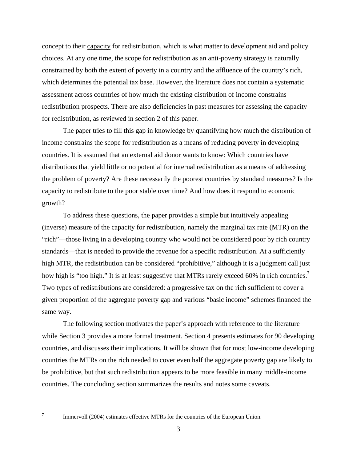concept to their capacity for redistribution, which is what matter to development aid and policy choices. At any one time, the scope for redistribution as an anti-poverty strategy is naturally constrained by both the extent of poverty in a country and the affluence of the country's rich, which determines the potential tax base. However, the literature does not contain a systematic assessment across countries of how much the existing distribution of income constrains redistribution prospects. There are also deficiencies in past measures for assessing the capacity for redistribution, as reviewed in section 2 of this paper.

The paper tries to fill this gap in knowledge by quantifying how much the distribution of income constrains the scope for redistribution as a means of reducing poverty in developing countries. It is assumed that an external aid donor wants to know: Which countries have distributions that yield little or no potential for internal redistribution as a means of addressing the problem of poverty? Are these necessarily the poorest countries by standard measures? Is the capacity to redistribute to the poor stable over time? And how does it respond to economic growth?

To address these questions, the paper provides a simple but intuitively appealing (inverse) measure of the capacity for redistribution, namely the marginal tax rate (MTR) on the "rich"—those living in a developing country who would not be considered poor by rich country standards—that is needed to provide the revenue for a specific redistribution. At a sufficiently high MTR, the redistribution can be considered "prohibitive," although it is a judgment call just how high is "too high." It is at least suggestive that MTRs rarely exceed 60% in rich countries.<sup>7</sup> Two types of redistributions are considered: a progressive tax on the rich sufficient to cover a given proportion of the aggregate poverty gap and various "basic income" schemes financed the same way.

The following section motivates the paper's approach with reference to the literature while Section 3 provides a more formal treatment. Section 4 presents estimates for 90 developing countries, and discusses their implications. It will be shown that for most low-income developing countries the MTRs on the rich needed to cover even half the aggregate poverty gap are likely to be prohibitive, but that such redistribution appears to be more feasible in many middle-income countries. The concluding section summarizes the results and notes some caveats.

-<br>7

Immervoll (2004) estimates effective MTRs for the countries of the European Union.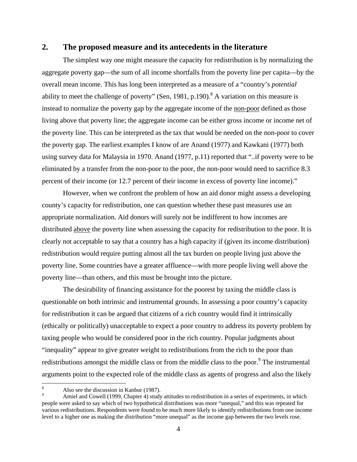#### **2. The proposed measure and its antecedents in the literature**

The simplest way one might measure the capacity for redistribution is by normalizing the aggregate poverty gap—the sum of all income shortfalls from the poverty line per capita—by the overall mean income. This has long been interpreted as a measure of a "country's *potential* ability to meet the challenge of poverty" (Sen, 1981, p.190).<sup>8</sup> A variation on this measure is instead to normalize the poverty gap by the aggregate income of the non-poor defined as those living above that poverty line; the aggregate income can be either gross income or income net of the poverty line. This can be interpreted as the tax that would be needed on the non-poor to cover the poverty gap. The earliest examples I know of are Anand (1977) and Kawkani (1977) both using survey data for Malaysia in 1970. Anand (1977, p.11) reported that "..if poverty were to be eliminated by a transfer from the non-poor to the poor, the non-poor would need to sacrifice 8.3 percent of their income (or 12.7 percent of their income in excess of poverty line income)."

However, when we confront the problem of how an aid donor might assess a developing county's capacity for redistribution, one can question whether these past measures use an appropriate normalization. Aid donors will surely not be indifferent to how incomes are distributed above the poverty line when assessing the capacity for redistribution to the poor. It is clearly not acceptable to say that a country has a high capacity if (given its income distribution) redistribution would require putting almost all the tax burden on people living just above the poverty line. Some countries have a greater affluence—with more people living well above the poverty line—than others, and this must be brought into the picture.

The desirability of financing assistance for the poorest by taxing the middle class is questionable on both intrinsic and instrumental grounds. In assessing a poor country's capacity for redistribution it can be argued that citizens of a rich country would find it intrinsically (ethically or politically) unacceptable to expect a poor country to address its poverty problem by taxing people who would be considered poor in the rich country. Popular judgments about "inequality" appear to give greater weight to redistributions from the rich to the poor than redistributions amongst the middle class or from the middle class to the poor.<sup>9</sup> The instrumental arguments point to the expected role of the middle class as agents of progress and also the likely

 $\overline{a}$ 

<sup>8</sup> Also see the discussion in Kanbur (1987).

Amiel and Cowell (1999, Chapter 4) study attitudes to redistribution in a series of experiments, in which people were asked to say which of two hypothetical distributions was more "unequal," and this was repeated for various redistributions. Respondents were found to be much more likely to identify redistributions from one income level to a higher one as making the distribution "more unequal" as the income gap between the two levels rose.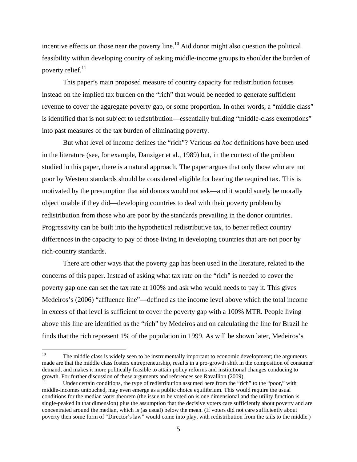incentive effects on those near the poverty line.<sup>10</sup> Aid donor might also question the political feasibility within developing country of asking middle-income groups to shoulder the burden of poverty relief. $^{11}$ 

This paper's main proposed measure of country capacity for redistribution focuses instead on the implied tax burden on the "rich" that would be needed to generate sufficient revenue to cover the aggregate poverty gap, or some proportion. In other words, a "middle class" is identified that is not subject to redistribution—essentially building "middle-class exemptions" into past measures of the tax burden of eliminating poverty.

But what level of income defines the "rich"? Various *ad hoc* definitions have been used in the literature (see, for example, Danziger et al., 1989) but, in the context of the problem studied in this paper, there is a natural approach. The paper argues that only those who are not poor by Western standards should be considered eligible for bearing the required tax. This is motivated by the presumption that aid donors would not ask—and it would surely be morally objectionable if they did—developing countries to deal with their poverty problem by redistribution from those who are poor by the standards prevailing in the donor countries. Progressivity can be built into the hypothetical redistributive tax, to better reflect country differences in the capacity to pay of those living in developing countries that are not poor by rich-country standards.

There are other ways that the poverty gap has been used in the literature, related to the concerns of this paper. Instead of asking what tax rate on the "rich" is needed to cover the poverty gap one can set the tax rate at 100% and ask who would needs to pay it. This gives Medeiros's (2006) "affluence line"—defined as the income level above which the total income in excess of that level is sufficient to cover the poverty gap with a 100% MTR. People living above this line are identified as the "rich" by Medeiros and on calculating the line for Brazil he finds that the rich represent 1% of the population in 1999. As will be shown later, Medeiros's

The middle class is widely seen to be instrumentally important to economic development; the arguments made are that the middle class fosters entrepreneurship, results in a pro-growth shift in the composition of consumer demand, and makes it more politically feasible to attain policy reforms and institutional changes conducing to growth. For further discussion of these arguments and references see Ravallion (2009).

Under certain conditions, the type of redistribution assumed here from the "rich" to the "poor," with middle-incomes untouched, may even emerge as a public choice equilibrium. This would require the usual conditions for the median voter theorem (the issue to be voted on is one dimensional and the utility function is single-peaked in that dimension) plus the assumption that the decisive voters care sufficiently about poverty and are concentrated around the median, which is (as usual) below the mean. (If voters did not care sufficiently about poverty then some form of "Director's law" would come into play, with redistribution from the tails to the middle.)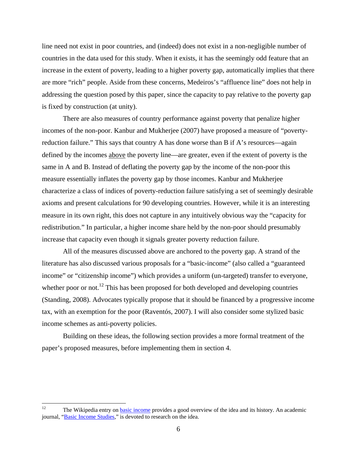line need not exist in poor countries, and (indeed) does not exist in a non-negligible number of countries in the data used for this study. When it exists, it has the seemingly odd feature that an increase in the extent of poverty, leading to a higher poverty gap, automatically implies that there are more "rich" people. Aside from these concerns, Medeiros's "affluence line" does not help in addressing the question posed by this paper, since the capacity to pay relative to the poverty gap is fixed by construction (at unity).

There are also measures of country performance against poverty that penalize higher incomes of the non-poor. Kanbur and Mukherjee (2007) have proposed a measure of "povertyreduction failure." This says that country A has done worse than B if A's resources—again defined by the incomes above the poverty line—are greater, even if the extent of poverty is the same in A and B. Instead of deflating the poverty gap by the income of the non-poor this measure essentially inflates the poverty gap by those incomes. Kanbur and Mukherjee characterize a class of indices of poverty-reduction failure satisfying a set of seemingly desirable axioms and present calculations for 90 developing countries. However, while it is an interesting measure in its own right, this does not capture in any intuitively obvious way the "capacity for redistribution." In particular, a higher income share held by the non-poor should presumably increase that capacity even though it signals greater poverty reduction failure.

All of the measures discussed above are anchored to the poverty gap. A strand of the literature has also discussed various proposals for a "basic-income" (also called a "guaranteed income" or "citizenship income") which provides a uniform (un-targeted) transfer to everyone, whether poor or not.<sup>12</sup> This has been proposed for both developed and developing countries (Standing, 2008). Advocates typically propose that it should be financed by a progressive income tax, with an exemption for the poor (Raventós, 2007). I will also consider some stylized basic income schemes as anti-poverty policies.

Building on these ideas, the following section provides a more formal treatment of the paper's proposed measures, before implementing them in section 4.

 $12 \,$ The Wikipedia entry on **basic income** provides a good overview of the idea and its history. An academic journal, "Basic Income Studies," is devoted to research on the idea.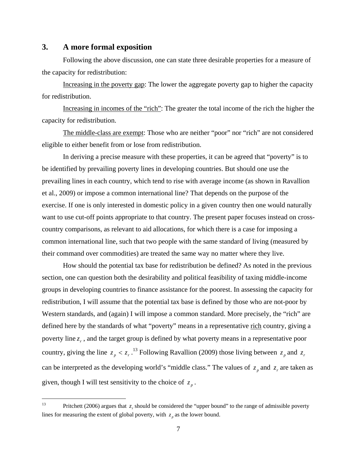#### **3. A more formal exposition**

Following the above discussion, one can state three desirable properties for a measure of the capacity for redistribution:

Increasing in the poverty gap: The lower the aggregate poverty gap to higher the capacity for redistribution.

Increasing in incomes of the "rich": The greater the total income of the rich the higher the capacity for redistribution.

The middle-class are exempt: Those who are neither "poor" nor "rich" are not considered eligible to either benefit from or lose from redistribution.

In deriving a precise measure with these properties, it can be agreed that "poverty" is to be identified by prevailing poverty lines in developing countries. But should one use the prevailing lines in each country, which tend to rise with average income (as shown in Ravallion et al., 2009) or impose a common international line? That depends on the purpose of the exercise. If one is only interested in domestic policy in a given country then one would naturally want to use cut-off points appropriate to that country. The present paper focuses instead on crosscountry comparisons, as relevant to aid allocations, for which there is a case for imposing a common international line, such that two people with the same standard of living (measured by their command over commodities) are treated the same way no matter where they live.

How should the potential tax base for redistribution be defined? As noted in the previous section, one can question both the desirability and political feasibility of taxing middle-income groups in developing countries to finance assistance for the poorest. In assessing the capacity for redistribution, I will assume that the potential tax base is defined by those who are not-poor by Western standards, and (again) I will impose a common standard. More precisely, the "rich" are defined here by the standards of what "poverty" means in a representative rich country, giving a poverty line  $z_r$ , and the target group is defined by what poverty means in a representative poor country, giving the line  $z_p < z_r$ .<sup>13</sup> Following Ravallion (2009) those living between  $z_p$  and  $z_r$ can be interpreted as the developing world's "middle class." The values of  $z_p$  and  $z_r$  are taken as given, though I will test sensitivity to the choice of  $z_n$ .

 $13$ Pritchett (2006) argues that *z* should be considered the "upper bound" to the range of admissible poverty lines for measuring the extent of global poverty, with  $z<sub>n</sub>$  as the lower bound.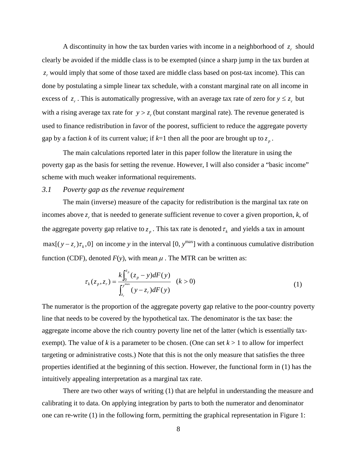A discontinuity in how the tax burden varies with income in a neighborhood of  $z<sub>r</sub>$  should clearly be avoided if the middle class is to be exempted (since a sharp jump in the tax burden at z, would imply that some of those taxed are middle class based on post-tax income). This can done by postulating a simple linear tax schedule, with a constant marginal rate on all income in excess of  $z_r$ . This is automatically progressive, with an average tax rate of zero for  $y \le z_r$  but with a rising average tax rate for  $y > z$ , (but constant marginal rate). The revenue generated is used to finance redistribution in favor of the poorest, sufficient to reduce the aggregate poverty gap by a faction *k* of its current value; if  $k=1$  then all the poor are brought up to  $z_p$ .

The main calculations reported later in this paper follow the literature in using the poverty gap as the basis for setting the revenue. However, I will also consider a "basic income" scheme with much weaker informational requirements.

#### *3.1 Poverty gap as the revenue requirement*

The main (inverse) measure of the capacity for redistribution is the marginal tax rate on incomes above  $z$ , that is needed to generate sufficient revenue to cover a given proportion,  $k$ , of the aggregate poverty gap relative to  $z_p$ . This tax rate is denoted  $\tau_k$  and yields a tax in amount  $max[(y - z_r)\tau_k, 0]$  on income *y* in the interval [0,  $y^{max}$ ] with a continuous cumulative distribution function (CDF), denoted  $F(y)$ , with mean  $\mu$ . The MTR can be written as:

$$
\tau_k(z_p, z_r) = \frac{k \int_0^{z_p} (z_p - y) dF(y)}{\int_{z_r}^{y_{\text{max}}} (y - z_r) dF(y)} \quad (k > 0)
$$
\n(1)

The numerator is the proportion of the aggregate poverty gap relative to the poor-country poverty line that needs to be covered by the hypothetical tax. The denominator is the tax base: the aggregate income above the rich country poverty line net of the latter (which is essentially taxexempt). The value of  $k$  is a parameter to be chosen. (One can set  $k > 1$  to allow for imperfect targeting or administrative costs.) Note that this is not the only measure that satisfies the three properties identified at the beginning of this section. However, the functional form in (1) has the intuitively appealing interpretation as a marginal tax rate.

There are two other ways of writing (1) that are helpful in understanding the measure and calibrating it to data. On applying integration by parts to both the numerator and denominator one can re-write (1) in the following form, permitting the graphical representation in Figure 1: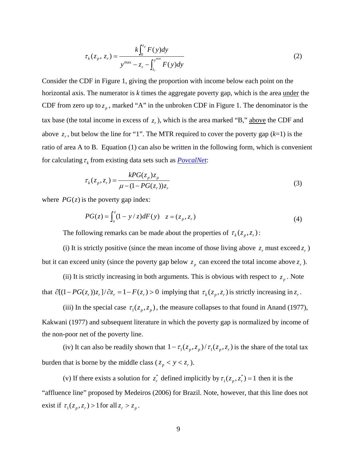$$
\tau_k(z_p, z_r) = \frac{k \int_0^{z_p} F(y) dy}{y^{\max} - z_r - \int_{z_r}^{y^{\max}} F(y) dy}
$$
\n(2)

Consider the CDF in Figure 1, giving the proportion with income below each point on the horizontal axis. The numerator is *k* times the aggregate poverty gap, which is the area under the CDF from zero up to  $z_n$ , marked "A" in the unbroken CDF in Figure 1. The denominator is the tax base (the total income in excess of  $z_r$ ), which is the area marked "B," above the CDF and above  $z_r$ , but below the line for "1". The MTR required to cover the poverty gap  $(k=1)$  is the ratio of area A to B. Equation (1) can also be written in the following form, which is convenient for calculating  $\tau_k$  from existing data sets such as *PovcalNet*:

$$
\tau_k(z_p, z_r) = \frac{kPG(z_p)z_p}{\mu - (1 - PG(z_r))z_r}
$$
\n(3)

where  $PG(z)$  is the poverty gap index:

$$
PG(z) = \int_{o}^{z} (1 - y/z) dF(y) \quad z = (z_p, z_r)
$$
 (4)

The following remarks can be made about the properties of  $\tau_k(z_p, z_r)$ :

(i) It is strictly positive (since the mean income of those living above  $z_r$  must exceed  $z_r$ ) but it can exceed unity (since the poverty gap below  $z_p$  can exceed the total income above  $z_r$ ).

(ii) It is strictly increasing in both arguments. This is obvious with respect to  $z_p$ . Note that  $\partial [(1-PG(z_r))z_r]/\partial z_r = 1 - F(z_r) > 0$  implying that  $\tau_k(z_p, z_r)$  is strictly increasing in  $z_r$ .

(iii) In the special case  $\tau_1(z_p, z_p)$ , the measure collapses to that found in Anand (1977), Kakwani (1977) and subsequent literature in which the poverty gap is normalized by income of the non-poor net of the poverty line.

(iv) It can also be readily shown that  $1 - \tau_1(z_p, z_p) / \tau_1(z_p, z_r)$  is the share of the total tax burden that is borne by the middle class ( $z_p < y < z_r$ ).

(v) If there exists a solution for  $z_r^*$  defined implicitly by  $\tau_1(z_p, z_r^*) = 1$  then it is the "affluence line" proposed by Medeiros (2006) for Brazil. Note, however, that this line does not exist if  $\tau_1(z_p, z_r) > 1$  for all  $z_r > z_p$ .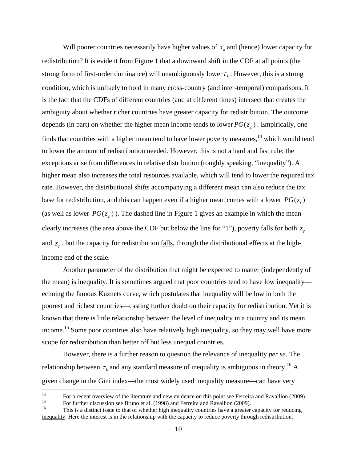Will poorer countries necessarily have higher values of  $\tau_k$  and (hence) lower capacity for redistribution? It is evident from Figure 1 that a downward shift in the CDF at all points (the strong form of first-order dominance) will unambiguously lower  $\tau_k$ . However, this is a strong condition, which is unlikely to hold in many cross-country (and inter-temporal) comparisons. It is the fact that the CDFs of different countries (and at different times) intersect that creates the ambiguity about whether richer countries have greater capacity for redistribution. The outcome depends (in part) on whether the higher mean income tends to lower  $PG(z_n)$ . Empirically, one finds that countries with a higher mean tend to have lower poverty measures, $14$  which would tend to lower the amount of redistribution needed. However, this is not a hard and fast rule; the exceptions arise from differences in relative distribution (roughly speaking, "inequality"). A higher mean also increases the total resources available, which will tend to lower the required tax rate. However, the distributional shifts accompanying a different mean can also reduce the tax base for redistribution, and this can happen even if a higher mean comes with a lower  $PG(z_r)$ (as well as lower  $PG(z_n)$ ). The dashed line in Figure 1 gives an example in which the mean clearly increases (the area above the CDF but below the line for "1"), poverty falls for both  $z<sub>n</sub>$ and  $z_n$ , but the capacity for redistribution <u>falls</u>, through the distributional effects at the highincome end of the scale.

Another parameter of the distribution that might be expected to matter (independently of the mean) is inequality. It is sometimes argued that poor countries tend to have low inequality echoing the famous Kuznets curve, which postulates that inequality will be low in both the poorest and richest countries—casting further doubt on their capacity for redistribution. Yet it is known that there is little relationship between the level of inequality in a country and its mean income.15 Some poor countries also have relatively high inequality, so they may well have more scope for redistribution than better off but less unequal countries.

However, there is a further reason to question the relevance of inequality *per se*. The relationship between  $\tau_k$  and any standard measure of inequality is ambiguous in theory.<sup>16</sup> A given change in the Gini index—the most widely used inequality measure—can have very

 $14$ <sup>14</sup> For a recent overview of the literature and new evidence on this point see Ferreira and Ravallion (2009).<br><sup>15</sup> For further discussion see Bruno et al. (1998) and Ferreira and Ravallion (2009).

This is a distinct issue to that of whether high inequality countries have a greater capacity for reducing inequality. Here the interest is in the relationship with the capacity to reduce poverty through redistribution.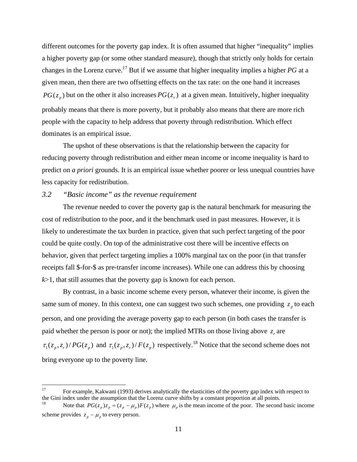different outcomes for the poverty gap index. It is often assumed that higher "inequality" implies a higher poverty gap (or some other standard measure), though that strictly only holds for certain changes in the Lorenz curve.<sup>17</sup> But if we assume that higher inequality implies a higher *PG* at a given mean, then there are two offsetting effects on the tax rate: on the one hand it increases  $PG(z_n)$  but on the other it also increases  $PG(z_n)$  at a given mean. Intuitively, higher inequality probably means that there is more poverty, but it probably also means that there are more rich people with the capacity to help address that poverty through redistribution. Which effect dominates is an empirical issue.

The upshot of these observations is that the relationship between the capacity for reducing poverty through redistribution and either mean income or income inequality is hard to predict on *a priori* grounds. It is an empirical issue whether poorer or less unequal countries have less capacity for redistribution.

#### *3.2 "Basic income" as the revenue requirement*

The revenue needed to cover the poverty gap is the natural benchmark for measuring the cost of redistribution to the poor, and it the benchmark used in past measures. However, it is likely to underestimate the tax burden in practice, given that such perfect targeting of the poor could be quite costly. On top of the administrative cost there will be incentive effects on behavior, given that perfect targeting implies a 100% marginal tax on the poor (in that transfer receipts fall \$-for-\$ as pre-transfer income increases). While one can address this by choosing *k*>1, that still assumes that the poverty gap is known for each person.

By contrast, in a basic income scheme every person, whatever their income, is given the same sum of money. In this context, one can suggest two such schemes, one providing  $z_p$  to each person, and one providing the average poverty gap to each person (in both cases the transfer is paid whether the person is poor or not); the implied MTRs on those living above  $z<sub>r</sub>$  are  $\tau_1(z_p, z_r) / PG(z_p)$  and  $\tau_1(z_p, z_r) / F(z_p)$  respectively.<sup>18</sup> Notice that the second scheme does not bring everyone up to the poverty line.

<sup>17</sup> 17 For example, Kakwani (1993) derives analytically the elasticities of the poverty gap index with respect to the Gini index under the assumption that the Lorenz curve shifts by a constant proportion at all points.

Note that  $PG(z_p)z_p = (z_p - \mu_p)F(z_p)$  where  $\mu_p$  is the mean income of the poor. The second basic income scheme provides  $z_p - \mu_p$  to every person.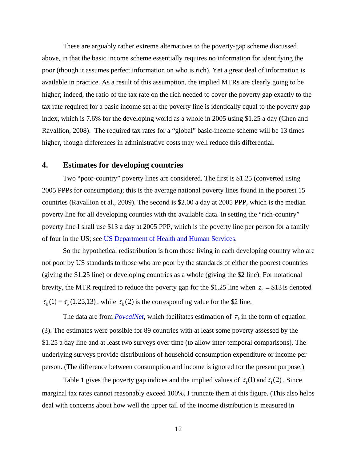These are arguably rather extreme alternatives to the poverty-gap scheme discussed above, in that the basic income scheme essentially requires no information for identifying the poor (though it assumes perfect information on who is rich). Yet a great deal of information is available in practice. As a result of this assumption, the implied MTRs are clearly going to be higher; indeed, the ratio of the tax rate on the rich needed to cover the poverty gap exactly to the tax rate required for a basic income set at the poverty line is identically equal to the poverty gap index, which is 7.6% for the developing world as a whole in 2005 using \$1.25 a day (Chen and Ravallion, 2008). The required tax rates for a "global" basic-income scheme will be 13 times higher, though differences in administrative costs may well reduce this differential.

### **4. Estimates for developing countries**

Two "poor-country" poverty lines are considered. The first is \$1.25 (converted using 2005 PPPs for consumption); this is the average national poverty lines found in the poorest 15 countries (Ravallion et al., 2009). The second is \$2.00 a day at 2005 PPP, which is the median poverty line for all developing counties with the available data. In setting the "rich-country" poverty line I shall use \$13 a day at 2005 PPP, which is the poverty line per person for a family of four in the US; see US Department of Health and Human Services.

So the hypothetical redistribution is from those living in each developing country who are not poor by US standards to those who are poor by the standards of either the poorest countries (giving the \$1.25 line) or developing countries as a whole (giving the \$2 line). For notational brevity, the MTR required to reduce the poverty gap for the \$1.25 line when  $z_r = $13$  is denoted  $\tau_{\nu}(1) = \tau_{\nu}(1.25,13)$ , while  $\tau_{\nu}(2)$  is the corresponding value for the \$2 line.

The data are from *PovcalNet*, which facilitates estimation of  $\tau_k$  in the form of equation (3). The estimates were possible for 89 countries with at least some poverty assessed by the \$1.25 a day line and at least two surveys over time (to allow inter-temporal comparisons). The underlying surveys provide distributions of household consumption expenditure or income per person. (The difference between consumption and income is ignored for the present purpose.)

Table 1 gives the poverty gap indices and the implied values of  $\tau_1(1)$  and  $\tau_1(2)$ . Since marginal tax rates cannot reasonably exceed 100%, I truncate them at this figure. (This also helps deal with concerns about how well the upper tail of the income distribution is measured in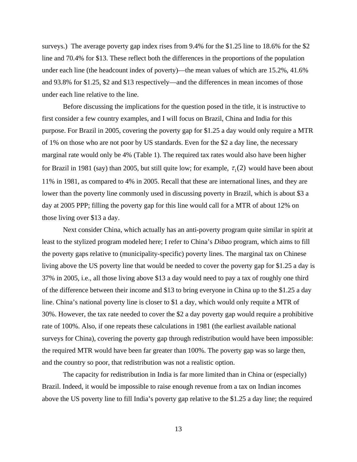surveys.) The average poverty gap index rises from 9.4% for the \$1.25 line to 18.6% for the \$2 line and 70.4% for \$13. These reflect both the differences in the proportions of the population under each line (the headcount index of poverty)—the mean values of which are 15.2%, 41.6% and 93.8% for \$1.25, \$2 and \$13 respectively—and the differences in mean incomes of those under each line relative to the line.

Before discussing the implications for the question posed in the title, it is instructive to first consider a few country examples, and I will focus on Brazil, China and India for this purpose. For Brazil in 2005, covering the poverty gap for \$1.25 a day would only require a MTR of 1% on those who are not poor by US standards. Even for the \$2 a day line, the necessary marginal rate would only be 4% (Table 1). The required tax rates would also have been higher for Brazil in 1981 (say) than 2005, but still quite low; for example,  $\tau_1(2)$  would have been about 11% in 1981, as compared to 4% in 2005. Recall that these are international lines, and they are lower than the poverty line commonly used in discussing poverty in Brazil, which is about \$3 a day at 2005 PPP; filling the poverty gap for this line would call for a MTR of about 12% on those living over \$13 a day.

Next consider China, which actually has an anti-poverty program quite similar in spirit at least to the stylized program modeled here; I refer to China's *Dibao* program, which aims to fill the poverty gaps relative to (municipality-specific) poverty lines. The marginal tax on Chinese living above the US poverty line that would be needed to cover the poverty gap for \$1.25 a day is 37% in 2005, i.e., all those living above \$13 a day would need to pay a tax of roughly one third of the difference between their income and \$13 to bring everyone in China up to the \$1.25 a day line. China's national poverty line is closer to \$1 a day, which would only requite a MTR of 30%. However, the tax rate needed to cover the \$2 a day poverty gap would require a prohibitive rate of 100%. Also, if one repeats these calculations in 1981 (the earliest available national surveys for China), covering the poverty gap through redistribution would have been impossible: the required MTR would have been far greater than 100%. The poverty gap was so large then, and the country so poor, that redistribution was not a realistic option.

The capacity for redistribution in India is far more limited than in China or (especially) Brazil. Indeed, it would be impossible to raise enough revenue from a tax on Indian incomes above the US poverty line to fill India's poverty gap relative to the \$1.25 a day line; the required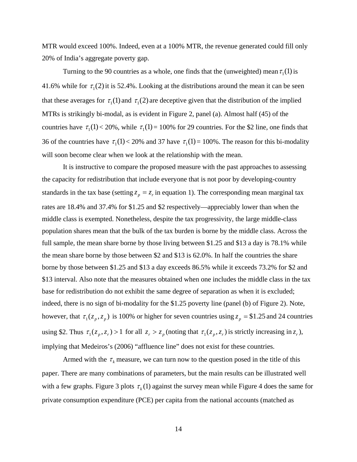MTR would exceed 100%. Indeed, even at a 100% MTR, the revenue generated could fill only 20% of India's aggregate poverty gap.

Turning to the 90 countries as a whole, one finds that the (unweighted) mean  $\tau_1(1)$  is 41.6% while for  $\tau_1(2)$  it is 52.4%. Looking at the distributions around the mean it can be seen that these averages for  $\tau_1(1)$  and  $\tau_1(2)$  are deceptive given that the distribution of the implied MTRs is strikingly bi-modal, as is evident in Figure 2, panel (a). Almost half (45) of the countries have  $\tau_1(1) < 20\%$ , while  $\tau_1(1) = 100\%$  for 29 countries. For the \$2 line, one finds that 36 of the countries have  $\tau_1(1) < 20\%$  and 37 have  $\tau_1(1) = 100\%$ . The reason for this bi-modality will soon become clear when we look at the relationship with the mean.

It is instructive to compare the proposed measure with the past approaches to assessing the capacity for redistribution that include everyone that is not poor by developing-country standards in the tax base (setting  $z_p = z_r$  in equation 1). The corresponding mean marginal tax rates are 18.4% and 37.4% for \$1.25 and \$2 respectively—appreciably lower than when the middle class is exempted. Nonetheless, despite the tax progressivity, the large middle-class population shares mean that the bulk of the tax burden is borne by the middle class. Across the full sample, the mean share borne by those living between \$1.25 and \$13 a day is 78.1% while the mean share borne by those between \$2 and \$13 is 62.0%. In half the countries the share borne by those between \$1.25 and \$13 a day exceeds 86.5% while it exceeds 73.2% for \$2 and \$13 interval. Also note that the measures obtained when one includes the middle class in the tax base for redistribution do not exhibit the same degree of separation as when it is excluded; indeed, there is no sign of bi-modality for the \$1.25 poverty line (panel (b) of Figure 2). Note, however, that  $\tau_1(z_p, z_p)$  is 100% or higher for seven countries using  $z_p = $1.25$  and 24 countries using \$2. Thus  $\tau_1(z_p, z_r) > 1$  for all  $z_r > z_p$  (noting that  $\tau_1(z_p, z_r)$  is strictly increasing in  $z_r$ ), implying that Medeiros's (2006) "affluence line" does not exist for these countries.

Armed with the  $\tau_k$  measure, we can turn now to the question posed in the title of this paper. There are many combinations of parameters, but the main results can be illustrated well with a few graphs. Figure 3 plots  $\tau_k(1)$  against the survey mean while Figure 4 does the same for private consumption expenditure (PCE) per capita from the national accounts (matched as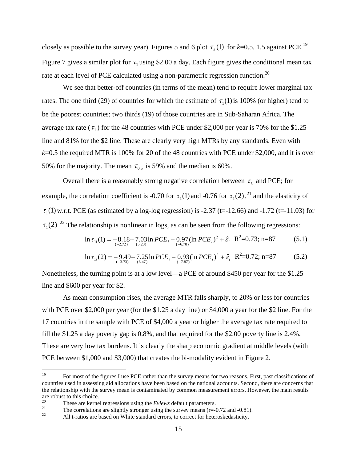closely as possible to the survey year). Figures 5 and 6 plot  $\tau_k(1)$  for  $k=0.5$ , 1.5 against PCE.<sup>19</sup> Figure 7 gives a similar plot for  $\tau_1$  using \$2.00 a day. Each figure gives the conditional mean tax rate at each level of PCE calculated using a non-parametric regression function.<sup>20</sup>

We see that better-off countries (in terms of the mean) tend to require lower marginal tax rates. The one third (29) of countries for which the estimate of  $\tau_1(1)$  is 100% (or higher) tend to be the poorest countries; two thirds (19) of those countries are in Sub-Saharan Africa. The average tax rate ( $\tau_1$ ) for the 48 countries with PCE under \$2,000 per year is 70% for the \$1.25 line and 81% for the \$2 line. These are clearly very high MTRs by any standards. Even with *k*=0.5 the required MTR is 100% for 20 of the 48 countries with PCE under \$2,000, and it is over 50% for the majority. The mean  $\tau_{0.5}$  is 59% and the median is 60%.

Overall there is a reasonably strong negative correlation between  $\tau_k$  and PCE; for example, the correlation coefficient is -0.70 for  $\tau_1(1)$  and -0.76 for  $\tau_1(2)$ ,<sup>21</sup> and the elasticity of  $\tau$ <sub>1</sub>(1) w.r.t. PCE (as estimated by a log-log regression) is -2.37 (t=-12.66) and -1.72 (t=-11.03) for  $\tau_1(2)$ .<sup>22</sup> The relationship is nonlinear in logs, as can be seen from the following regressions:

$$
\ln \tau_{1i}(1) = -8.18 + 7.03 \ln PCE_i - 0.97 (\ln PCE_i)^2 + \hat{\varepsilon}_i \quad \mathbf{R}^2 = 0.73; \, \mathbf{n} = 87 \tag{5.1}
$$

$$
\ln \tau_{1i}(2) = -9.49 + 7.25 \ln PCE_i - 0.93 (\ln PCE_i)^2 + \hat{\varepsilon}_i \quad \mathbf{R}^2 = 0.72; \, \mathbf{n} = 87 \tag{5.2}
$$

Nonetheless, the turning point is at a low level—a PCE of around \$450 per year for the \$1.25 line and \$600 per year for \$2.

As mean consumption rises, the average MTR falls sharply, to 20% or less for countries with PCE over \$2,000 per year (for the \$1.25 a day line) or \$4,000 a year for the \$2 line. For the 17 countries in the sample with PCE of \$4,000 a year or higher the average tax rate required to fill the \$1.25 a day poverty gap is 0.8%, and that required for the \$2.00 poverty line is 2.4%. These are very low tax burdens. It is clearly the sharp economic gradient at middle levels (with PCE between \$1,000 and \$3,000) that creates the bi-modality evident in Figure 2.

 $19$ 19 For most of the figures I use PCE rather than the survey means for two reasons. First, past classifications of countries used in assessing aid allocations have been based on the national accounts. Second, there are concerns that the relationship with the survey mean is contaminated by common measurement errors. However, the main results are robust to this choice.

<sup>&</sup>lt;sup>20</sup><br>These are kernel regressions using the *Eviews* default parameters.<br>The correlations are slightly stronger using the survey means (r=-0.72 and -0.81).<br>All t-ratios are based on White standard errors, to correct for h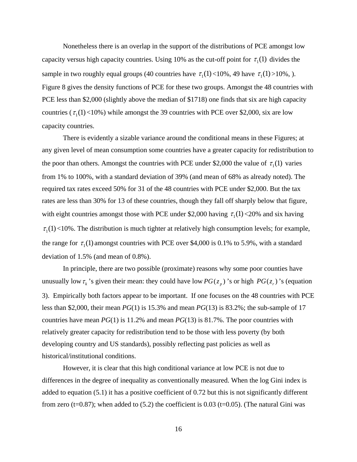Nonetheless there is an overlap in the support of the distributions of PCE amongst low capacity versus high capacity countries. Using 10% as the cut-off point for  $\tau_1(1)$  divides the sample in two roughly equal groups (40 countries have  $\tau_1(1) < 10\%$ , 49 have  $\tau_1(1) > 10\%$ , ). Figure 8 gives the density functions of PCE for these two groups. Amongst the 48 countries with PCE less than \$2,000 (slightly above the median of \$1718) one finds that six are high capacity countries ( $\tau_1(1)$  <10%) while amongst the 39 countries with PCE over \$2,000, six are low capacity countries.

There is evidently a sizable variance around the conditional means in these Figures; at any given level of mean consumption some countries have a greater capacity for redistribution to the poor than others. Amongst the countries with PCE under \$2,000 the value of  $\tau_1(1)$  varies from 1% to 100%, with a standard deviation of 39% (and mean of 68% as already noted). The required tax rates exceed 50% for 31 of the 48 countries with PCE under \$2,000. But the tax rates are less than 30% for 13 of these countries, though they fall off sharply below that figure, with eight countries amongst those with PCE under \$2,000 having  $\tau_1(1)$  <20% and six having  $\tau_1(1)$  <10%. The distribution is much tighter at relatively high consumption levels; for example, the range for  $\tau_1(1)$  amongst countries with PCE over \$4,000 is 0.1% to 5.9%, with a standard deviation of 1.5% (and mean of 0.8%).

In principle, there are two possible (proximate) reasons why some poor counties have unusually low  $\tau_k$ 's given their mean: they could have low  $PG(z_p)$ 's or high  $PG(z_p)$ 's (equation 3). Empirically both factors appear to be important. If one focuses on the 48 countries with PCE less than \$2,000, their mean *PG*(1) is 15.3% and mean *PG*(13) is 83.2%; the sub-sample of 17 countries have mean *PG*(1) is 11.2% and mean *PG*(13) is 81.7%. The poor countries with relatively greater capacity for redistribution tend to be those with less poverty (by both developing country and US standards), possibly reflecting past policies as well as historical/institutional conditions.

However, it is clear that this high conditional variance at low PCE is not due to differences in the degree of inequality as conventionally measured. When the log Gini index is added to equation (5.1) it has a positive coefficient of 0.72 but this is not significantly different from zero (t=0.87); when added to  $(5.2)$  the coefficient is 0.03 (t=0.05). (The natural Gini was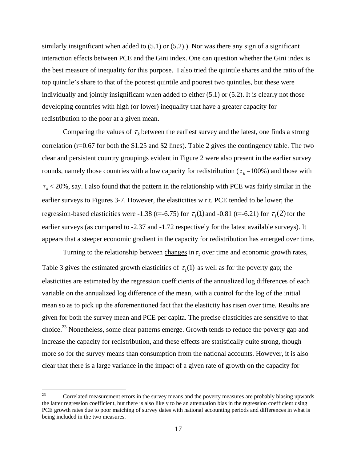similarly insignificant when added to  $(5.1)$  or  $(5.2)$ .) Nor was there any sign of a significant interaction effects between PCE and the Gini index. One can question whether the Gini index is the best measure of inequality for this purpose. I also tried the quintile shares and the ratio of the top quintile's share to that of the poorest quintile and poorest two quintiles, but these were individually and jointly insignificant when added to either (5.1) or (5.2). It is clearly not those developing countries with high (or lower) inequality that have a greater capacity for redistribution to the poor at a given mean.

Comparing the values of  $\tau_k$  between the earliest survey and the latest, one finds a strong correlation (r=0.67 for both the \$1.25 and \$2 lines). Table 2 gives the contingency table. The two clear and persistent country groupings evident in Figure 2 were also present in the earlier survey rounds, namely those countries with a low capacity for redistribution ( $\tau_k$ =100%) and those with  $\tau_k$  < 20%, say. I also found that the pattern in the relationship with PCE was fairly similar in the earlier surveys to Figures 3-7. However, the elasticities w.r.t. PCE tended to be lower; the regression-based elasticities were -1.38 (t=-6.75) for  $\tau_1(1)$  and -0.81 (t=-6.21) for  $\tau_1(2)$  for the earlier surveys (as compared to -2.37 and -1.72 respectively for the latest available surveys). It appears that a steeper economic gradient in the capacity for redistribution has emerged over time.

Turning to the relationship between changes in  $\tau_k$  over time and economic growth rates, Table 3 gives the estimated growth elasticities of  $\tau_1(1)$  as well as for the poverty gap; the elasticities are estimated by the regression coefficients of the annualized log differences of each variable on the annualized log difference of the mean, with a control for the log of the initial mean so as to pick up the aforementioned fact that the elasticity has risen over time. Results are given for both the survey mean and PCE per capita. The precise elasticities are sensitive to that choice.<sup>23</sup> Nonetheless, some clear patterns emerge. Growth tends to reduce the poverty gap and increase the capacity for redistribution, and these effects are statistically quite strong, though more so for the survey means than consumption from the national accounts. However, it is also clear that there is a large variance in the impact of a given rate of growth on the capacity for

<sup>23</sup> 23 Correlated measurement errors in the survey means and the poverty measures are probably biasing upwards the latter regression coefficient, but there is also likely to be an attenuation bias in the regression coefficient using PCE growth rates due to poor matching of survey dates with national accounting periods and differences in what is being included in the two measures.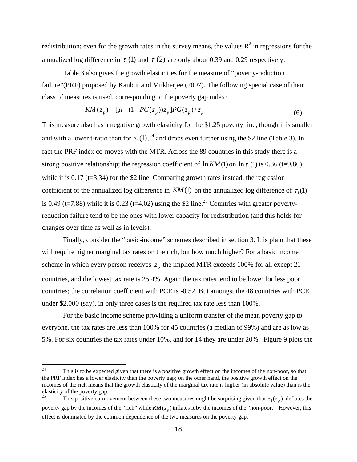redistribution; even for the growth rates in the survey means, the values  $R^2$  in regressions for the annualized log difference in  $\tau_1(1)$  and  $\tau_1(2)$  are only about 0.39 and 0.29 respectively.

Table 3 also gives the growth elasticities for the measure of "poverty-reduction failure"(PRF) proposed by Kanbur and Mukherjee (2007). The following special case of their class of measures is used, corresponding to the poverty gap index:

$$
KM(z_p) \equiv \left[\mu - (1 - PG(z_p))z_p\right]PG(z_p)/z_p \tag{6}
$$

This measure also has a negative growth elasticity for the \$1.25 poverty line, though it is smaller and with a lower t-ratio than for  $\tau_1(1)$ ,  $^{24}$  and drops even further using the \$2 line (Table 3). In fact the PRF index co-moves with the MTR. Across the 89 countries in this study there is a strong positive relationship; the regression coefficient of  $\ln KM(1)$  on  $\ln \tau_1(1)$  is 0.36 (t=9.80) while it is  $0.17$  (t=3.34) for the \$2 line. Comparing growth rates instead, the regression coefficient of the annualized log difference in  $KM(1)$  on the annualized log difference of  $\tau(1)$ is 0.49 (t=7.88) while it is 0.23 (t=4.02) using the \$2 line.<sup>25</sup> Countries with greater povertyreduction failure tend to be the ones with lower capacity for redistribution (and this holds for changes over time as well as in levels).

Finally, consider the "basic-income" schemes described in section 3. It is plain that these will require higher marginal tax rates on the rich, but how much higher? For a basic income scheme in which every person receives  $z<sub>n</sub>$  the implied MTR exceeds 100% for all except 21 countries, and the lowest tax rate is 25.4%. Again the tax rates tend to be lower for less poor countries; the correlation coefficient with PCE is -0.52. But amongst the 48 countries with PCE under \$2,000 (say), in only three cases is the required tax rate less than 100%.

 For the basic income scheme providing a uniform transfer of the mean poverty gap to everyone, the tax rates are less than 100% for 45 countries (a median of 99%) and are as low as 5%. For six countries the tax rates under 10%, and for 14 they are under 20%. Figure 9 plots the

 $24$ This is to be expected given that there is a positive growth effect on the incomes of the non-poor, so that the PRF index has a lower elasticity than the poverty gap; on the other hand, the positive growth effect on the incomes of the rich means that the growth elasticity of the marginal tax rate is higher (in absolute value) than is the elasticity of the poverty gap.

This positive co-movement between these two measures might be surprising given that  $\tau_1(z_p)$  deflates the poverty gap by the incomes of the "rich" while  $KM(z_p)$  inflates it by the incomes of the "non-poor." However, this effect is dominated by the common dependence of the two measures on the poverty gap.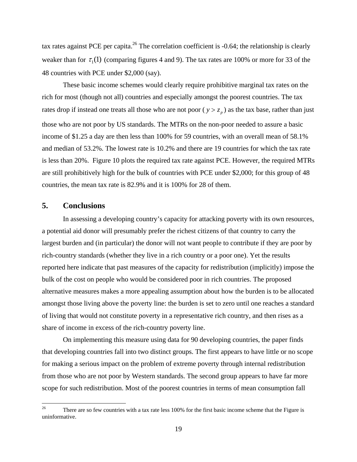tax rates against PCE per capita.<sup>26</sup> The correlation coefficient is -0.64; the relationship is clearly weaker than for  $\tau_1(1)$  (comparing figures 4 and 9). The tax rates are 100% or more for 33 of the 48 countries with PCE under \$2,000 (say).

 These basic income schemes would clearly require prohibitive marginal tax rates on the rich for most (though not all) countries and especially amongst the poorest countries. The tax rates drop if instead one treats all those who are not poor ( $y > z_p$ ) as the tax base, rather than just those who are not poor by US standards. The MTRs on the non-poor needed to assure a basic income of \$1.25 a day are then less than 100% for 59 countries, with an overall mean of 58.1% and median of 53.2%. The lowest rate is 10.2% and there are 19 countries for which the tax rate is less than 20%. Figure 10 plots the required tax rate against PCE. However, the required MTRs are still prohibitively high for the bulk of countries with PCE under \$2,000; for this group of 48 countries, the mean tax rate is 82.9% and it is 100% for 28 of them.

#### **5. Conclusions**

In assessing a developing country's capacity for attacking poverty with its own resources, a potential aid donor will presumably prefer the richest citizens of that country to carry the largest burden and (in particular) the donor will not want people to contribute if they are poor by rich-country standards (whether they live in a rich country or a poor one). Yet the results reported here indicate that past measures of the capacity for redistribution (implicitly) impose the bulk of the cost on people who would be considered poor in rich countries. The proposed alternative measures makes a more appealing assumption about how the burden is to be allocated amongst those living above the poverty line: the burden is set to zero until one reaches a standard of living that would not constitute poverty in a representative rich country, and then rises as a share of income in excess of the rich-country poverty line.

 On implementing this measure using data for 90 developing countries, the paper finds that developing countries fall into two distinct groups. The first appears to have little or no scope for making a serious impact on the problem of extreme poverty through internal redistribution from those who are not poor by Western standards. The second group appears to have far more scope for such redistribution. Most of the poorest countries in terms of mean consumption fall

 $26\,$ There are so few countries with a tax rate less 100% for the first basic income scheme that the Figure is uninformative.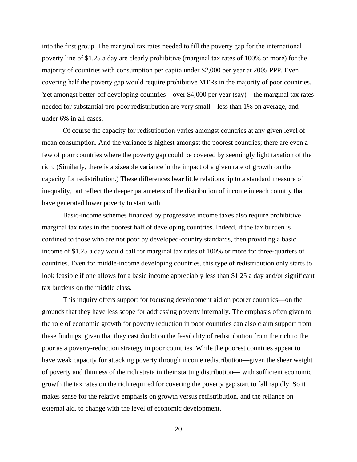into the first group. The marginal tax rates needed to fill the poverty gap for the international poverty line of \$1.25 a day are clearly prohibitive (marginal tax rates of 100% or more) for the majority of countries with consumption per capita under \$2,000 per year at 2005 PPP. Even covering half the poverty gap would require prohibitive MTRs in the majority of poor countries. Yet amongst better-off developing countries—over \$4,000 per year (say)—the marginal tax rates needed for substantial pro-poor redistribution are very small—less than 1% on average, and under 6% in all cases.

Of course the capacity for redistribution varies amongst countries at any given level of mean consumption. And the variance is highest amongst the poorest countries; there are even a few of poor countries where the poverty gap could be covered by seemingly light taxation of the rich. (Similarly, there is a sizeable variance in the impact of a given rate of growth on the capacity for redistribution.) These differences bear little relationship to a standard measure of inequality, but reflect the deeper parameters of the distribution of income in each country that have generated lower poverty to start with.

 Basic-income schemes financed by progressive income taxes also require prohibitive marginal tax rates in the poorest half of developing countries. Indeed, if the tax burden is confined to those who are not poor by developed-country standards, then providing a basic income of \$1.25 a day would call for marginal tax rates of 100% or more for three-quarters of countries. Even for middle-income developing countries, this type of redistribution only starts to look feasible if one allows for a basic income appreciably less than \$1.25 a day and/or significant tax burdens on the middle class.

This inquiry offers support for focusing development aid on poorer countries—on the grounds that they have less scope for addressing poverty internally. The emphasis often given to the role of economic growth for poverty reduction in poor countries can also claim support from these findings, given that they cast doubt on the feasibility of redistribution from the rich to the poor as a poverty-reduction strategy in poor countries. While the poorest countries appear to have weak capacity for attacking poverty through income redistribution—given the sheer weight of poverty and thinness of the rich strata in their starting distribution— with sufficient economic growth the tax rates on the rich required for covering the poverty gap start to fall rapidly. So it makes sense for the relative emphasis on growth versus redistribution, and the reliance on external aid, to change with the level of economic development.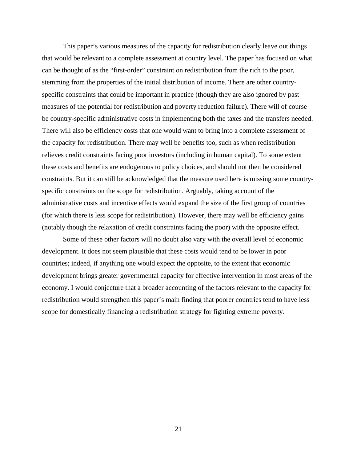This paper's various measures of the capacity for redistribution clearly leave out things that would be relevant to a complete assessment at country level. The paper has focused on what can be thought of as the "first-order" constraint on redistribution from the rich to the poor, stemming from the properties of the initial distribution of income. There are other countryspecific constraints that could be important in practice (though they are also ignored by past measures of the potential for redistribution and poverty reduction failure). There will of course be country-specific administrative costs in implementing both the taxes and the transfers needed. There will also be efficiency costs that one would want to bring into a complete assessment of the capacity for redistribution. There may well be benefits too, such as when redistribution relieves credit constraints facing poor investors (including in human capital). To some extent these costs and benefits are endogenous to policy choices, and should not then be considered constraints. But it can still be acknowledged that the measure used here is missing some countryspecific constraints on the scope for redistribution. Arguably, taking account of the administrative costs and incentive effects would expand the size of the first group of countries (for which there is less scope for redistribution). However, there may well be efficiency gains (notably though the relaxation of credit constraints facing the poor) with the opposite effect.

Some of these other factors will no doubt also vary with the overall level of economic development. It does not seem plausible that these costs would tend to be lower in poor countries; indeed, if anything one would expect the opposite, to the extent that economic development brings greater governmental capacity for effective intervention in most areas of the economy. I would conjecture that a broader accounting of the factors relevant to the capacity for redistribution would strengthen this paper's main finding that poorer countries tend to have less scope for domestically financing a redistribution strategy for fighting extreme poverty.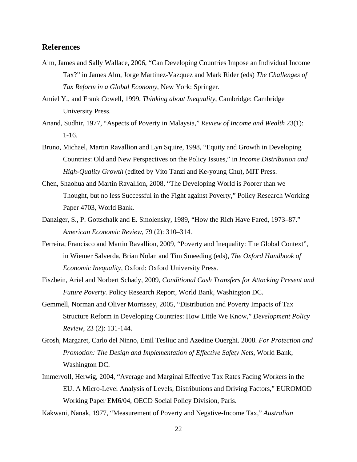#### **References**

- Alm, James and Sally Wallace, 2006, "Can Developing Countries Impose an Individual Income Tax?" in James Alm, Jorge Martinez-Vazquez and Mark Rider (eds) *The Challenges of Tax Reform in a Global Economy*, New York: Springer.
- Amiel Y., and Frank Cowell, 1999, *Thinking about Inequality*, Cambridge: Cambridge University Press.
- Anand, Sudhir, 1977, "Aspects of Poverty in Malaysia," *Review of Income and Wealth* 23(1): 1-16.
- Bruno, Michael, Martin Ravallion and Lyn Squire, 1998, "Equity and Growth in Developing Countries: Old and New Perspectives on the Policy Issues," in *Income Distribution and High-Quality Growth* (edited by Vito Tanzi and Ke-young Chu), MIT Press.
- Chen, Shaohua and Martin Ravallion, 2008, "The Developing World is Poorer than we Thought, but no less Successful in the Fight against Poverty," Policy Research Working Paper 4703, World Bank.
- Danziger, S., P. Gottschalk and E. Smolensky, 1989, "How the Rich Have Fared, 1973–87." *American Economic Review*, 79 (2): 310–314.
- Ferreira, Francisco and Martin Ravallion, 2009, "Poverty and Inequality: The Global Context", in Wiemer Salverda, Brian Nolan and Tim Smeeding (eds), *The Oxford Handbook of Economic Inequality*, Oxford: Oxford University Press.
- Fiszbein, Ariel and Norbert Schady, 2009, *Conditional Cash Transfers for Attacking Present and Future Poverty.* Policy Research Report, World Bank, Washington DC.
- Gemmell, Norman and Oliver Morrissey, 2005, "Distribution and Poverty Impacts of Tax Structure Reform in Developing Countries: How Little We Know," *Development Policy Review*, 23 (2): 131-144.
- Grosh, Margaret, Carlo del Ninno, Emil Tesliuc and Azedine Ouerghi. 2008. *For Protection and Promotion: The Design and Implementation of Effective Safety Nets*, World Bank, Washington DC.
- Immervoll, Herwig, 2004, "Average and Marginal Effective Tax Rates Facing Workers in the EU. A Micro-Level Analysis of Levels, Distributions and Driving Factors," EUROMOD Working Paper EM6/04, OECD Social Policy Division, Paris.

Kakwani, Nanak, 1977, "Measurement of Poverty and Negative-Income Tax," *Australian*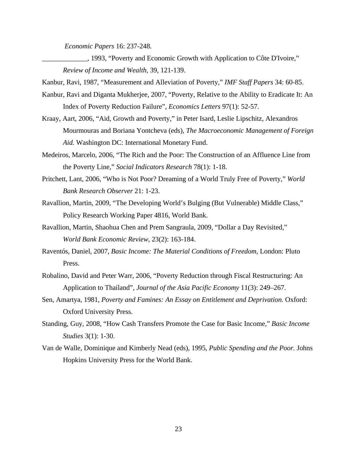*Economic Papers* 16: 237-248.

\_\_\_\_\_\_\_\_\_\_\_\_\_, 1993, "Poverty and Economic Growth with Application to Côte D'Ivoire," *Review of Income and Wealth,* 39, 121-139.

Kanbur, Ravi, 1987, "Measurement and Alleviation of Poverty," *IMF Staff Papers* 34: 60-85.

- Kanbur, Ravi and Diganta Mukherjee, 2007, "Poverty, Relative to the Ability to Eradicate It: An Index of Poverty Reduction Failure", *Economics Letters* 97(1): 52-57.
- Kraay, Aart, 2006, "Aid, Growth and Poverty," in Peter Isard, Leslie Lipschitz, Alexandros Mourmouras and Boriana Yontcheva (eds), *The Macroeconomic Management of Foreign Aid.* Washington DC: International Monetary Fund.
- Medeiros, Marcelo, 2006, "The Rich and the Poor: The Construction of an Affluence Line from the Poverty Line," *Social Indicators Research* 78(1): 1-18.
- Pritchett, Lant, 2006, "Who is Not Poor? Dreaming of a World Truly Free of Poverty," *World Bank Research Observer* 21: 1-23.
- Ravallion, Martin, 2009, "The Developing World's Bulging (But Vulnerable) Middle Class," Policy Research Working Paper 4816, World Bank.
- Ravallion, Martin, Shaohua Chen and Prem Sangraula, 2009, "Dollar a Day Revisited," *World Bank Economic Review*, 23(2): 163-184.
- Raventós, Daniel, 2007, *Basic Income: The Material Conditions of Freedom*, London: Pluto Press.
- Robalino, David and Peter Warr, 2006, "Poverty Reduction through Fiscal Restructuring: An Application to Thailand", *Journal of the Asia Pacific Economy* 11(3): 249–267.
- Sen, Amartya, 1981, *Poverty and Famines: An Essay on Entitlement and Deprivation.* Oxford: Oxford University Press.
- Standing, Guy, 2008, "How Cash Transfers Promote the Case for Basic Income," *Basic Income Studies* 3(1): 1-30.
- Van de Walle, Dominique and Kimberly Nead (eds), 1995, *Public Spending and the Poor.* Johns Hopkins University Press for the World Bank.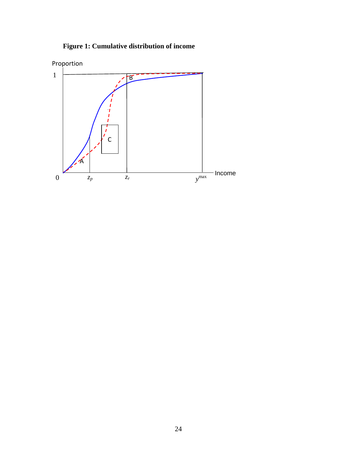

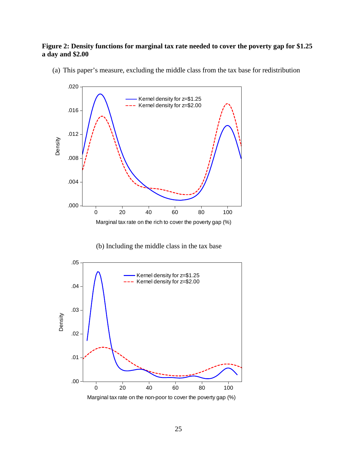#### **Figure 2: Density functions for marginal tax rate needed to cover the poverty gap for \$1.25 a day and \$2.00**



(a) This paper's measure, excluding the middle class from the tax base for redistribution

(b) Including the middle class in the tax base

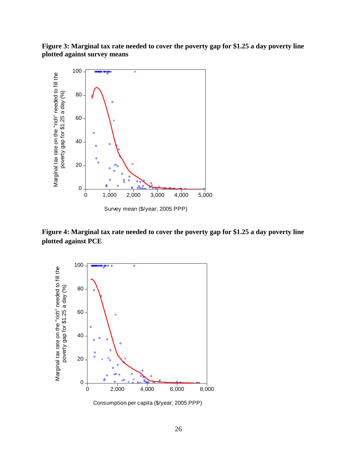**Figure 3: Marginal tax rate needed to cover the poverty gap for \$1.25 a day poverty line plotted against survey means** 



**Figure 4: Marginal tax rate needed to cover the poverty gap for \$1.25 a day poverty line plotted against PCE** 



Consumption per capita (\$/year; 2005 PPP)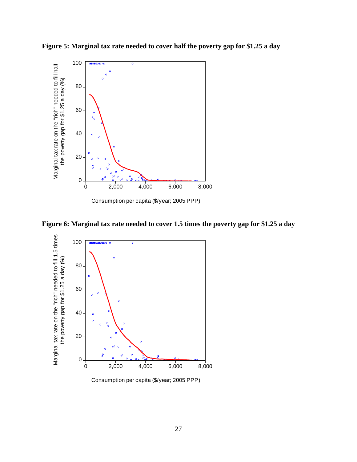

**Figure 5: Marginal tax rate needed to cover half the poverty gap for \$1.25 a day** 



**Figure 6: Marginal tax rate needed to cover 1.5 times the poverty gap for \$1.25 a day** 



Consumption per capita (\$/year; 2005 PPP)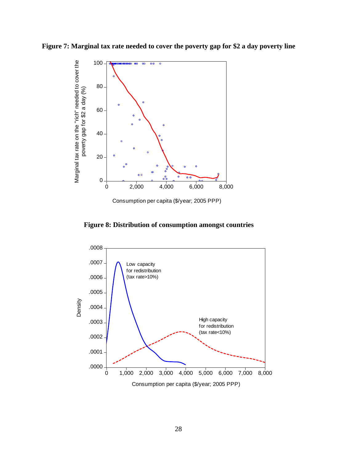



Consumption per capita (\$/year; 2005 PPP)



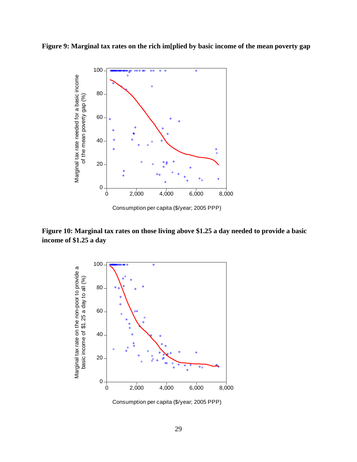**Figure 9: Marginal tax rates on the rich im[plied by basic income of the mean poverty gap** 



**Figure 10: Marginal tax rates on those living above \$1.25 a day needed to provide a basic income of \$1.25 a day** 



Consumption per capita (\$/year; 2005 PPP)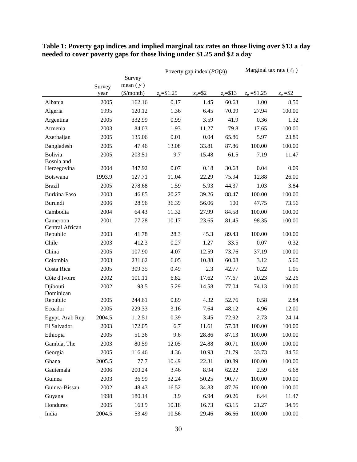|                             |        |                        | Poverty gap index $(PG(z))$ |            |             | Marginal tax rate ( $\tau_k$ ) |            |
|-----------------------------|--------|------------------------|-----------------------------|------------|-------------|--------------------------------|------------|
|                             |        | Survey                 |                             |            |             |                                |            |
|                             | Survey | mean $(\bar{y})$       |                             |            |             |                                |            |
|                             | year   | $(\frac{\sqrt{2}}{2})$ | $z_p = $1.25$               | $z_p = $2$ | $z_r = $13$ | $z_p = $1.25$                  | $z_p = $2$ |
| Albania                     | 2005   | 162.16                 | 0.17                        | 1.45       | 60.63       | 1.00                           | 8.50       |
| Algeria                     | 1995   | 120.12                 | 1.36                        | 6.45       | 70.09       | 27.94                          | 100.00     |
| Argentina                   | 2005   | 332.99                 | 0.99                        | 3.59       | 41.9        | 0.36                           | 1.32       |
| Armenia                     | 2003   | 84.03                  | 1.93                        | 11.27      | 79.8        | 17.65                          | 100.00     |
| Azerbaijan                  | 2005   | 135.06                 | 0.01                        | 0.04       | 65.86       | 5.97                           | 23.89      |
| Bangladesh                  | 2005   | 47.46                  | 13.08                       | 33.81      | 87.86       | 100.00                         | 100.00     |
| Bolivia<br>Bosnia and       | 2005   | 203.51                 | 9.7                         | 15.48      | 61.5        | 7.19                           | 11.47      |
| Herzegovina                 | 2004   | 347.92                 | 0.07                        | 0.18       | 30.68       | 0.04                           | 0.09       |
| <b>Botswana</b>             | 1993.9 | 127.71                 | 11.04                       | 22.29      | 75.94       | 12.88                          | 26.00      |
| <b>Brazil</b>               | 2005   | 278.68                 | 1.59                        | 5.93       | 44.37       | 1.03                           | 3.84       |
| Burkina Faso                | 2003   | 46.85                  | 20.27                       | 39.26      | 88.47       | 100.00                         | 100.00     |
| Burundi                     | 2006   | 28.96                  | 36.39                       | 56.06      | 100         | 47.75                          | 73.56      |
| Cambodia                    | 2004   | 64.43                  | 11.32                       | 27.99      | 84.58       | 100.00                         | 100.00     |
| Cameroon                    | 2001   | 77.28                  | 10.17                       | 23.65      | 81.45       | 98.35                          | 100.00     |
| Central African<br>Republic | 2003   | 41.78                  | 28.3                        | 45.3       | 89.43       | 100.00                         | 100.00     |
| Chile                       | 2003   | 412.3                  | 0.27                        | 1.27       | 33.5        | 0.07                           | 0.32       |
| China                       | 2005   | 107.90                 | 4.07                        | 12.59      | 73.76       | 37.19                          | 100.00     |
| Colombia                    | 2003   | 231.62                 | 6.05                        | 10.88      | 60.08       | 3.12                           | 5.60       |
| Costa Rica                  | 2005   | 309.35                 | 0.49                        | 2.3        | 42.77       | 0.22                           | 1.05       |
| Côte d'Ivoire               | 2002   | 101.11                 | 6.82                        | 17.62      | 77.67       | 20.23                          | 52.26      |
| Djibouti                    | 2002   | 93.5                   | 5.29                        | 14.58      | 77.04       | 74.13                          | 100.00     |
| Dominican<br>Republic       | 2005   | 244.61                 | 0.89                        | 4.32       | 52.76       | 0.58                           | 2.84       |
| Ecuador                     | 2005   | 229.33                 | 3.16                        | 7.64       | 48.12       | 4.96                           | 12.00      |
| Egypt, Arab Rep.            | 2004.5 | 112.51                 | 0.39                        | 3.45       | 72.92       | 2.73                           | 24.14      |
| El Salvador                 | 2003   | 172.05                 | 6.7                         | 11.61      | 57.08       | 100.00                         | 100.00     |
| Ethiopia                    | 2005   | 51.36                  | 9.6                         | 28.86      | 87.13       | 100.00                         | 100.00     |
| Gambia, The                 | 2003   | 80.59                  | 12.05                       | 24.88      | 80.71       | 100.00                         | 100.00     |
| Georgia                     | 2005   | 116.46                 | 4.36                        | 10.93      | 71.79       | 33.73                          | 84.56      |
| Ghana                       | 2005.5 | 77.7                   | 10.49                       | 22.31      | 80.89       | 100.00                         | 100.00     |
| Gautemala                   | 2006   | 200.24                 | 3.46                        | 8.94       | 62.22       | 2.59                           | 6.68       |
| Guinea                      | 2003   | 36.99                  | 32.24                       | 50.25      | 90.77       | 100.00                         | 100.00     |
| Guinea-Bissau               | 2002   | 48.43                  | 16.52                       | 34.83      | 87.76       | 100.00                         | 100.00     |
| Guyana                      | 1998   | 180.14                 | 3.9                         | 6.94       | 60.26       | 6.44                           | 11.47      |
| Honduras                    | 2005   | 163.9                  | 10.18                       | 16.73      | 63.15       | 21.27                          | 34.95      |
| India                       | 2004.5 | 53.49                  | 10.56                       | 29.46      | 86.66       | 100.00                         | 100.00     |

**Table 1: Poverty gap indices and implied marginal tax rates on those living over \$13 a day needed to cover poverty gaps for those living under \$1.25 and \$2 a day**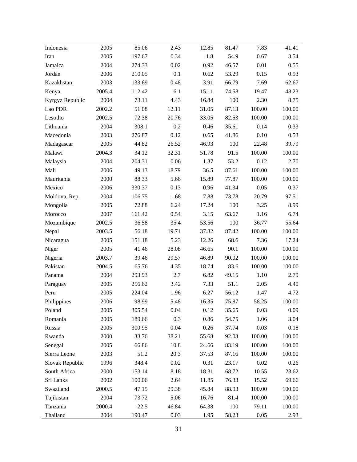| Indonesia       | 2005   | 85.06  | 2.43  | 12.85 | 81.47 | 7.83   | 41.41  |
|-----------------|--------|--------|-------|-------|-------|--------|--------|
| Iran            | 2005   | 197.67 | 0.34  | 1.8   | 54.9  | 0.67   | 3.54   |
| Jamaica         | 2004   | 274.33 | 0.02  | 0.92  | 46.57 | 0.01   | 0.55   |
| Jordan          | 2006   | 210.05 | 0.1   | 0.62  | 53.29 | 0.15   | 0.93   |
| Kazakhstan      | 2003   | 133.69 | 0.48  | 3.91  | 66.79 | 7.69   | 62.67  |
| Kenya           | 2005.4 | 112.42 | 6.1   | 15.11 | 74.58 | 19.47  | 48.23  |
| Kyrgyz Republic | 2004   | 73.11  | 4.43  | 16.84 | 100   | 2.30   | 8.75   |
| Lao PDR         | 2002.2 | 51.08  | 12.11 | 31.05 | 87.13 | 100.00 | 100.00 |
| Lesotho         | 2002.5 | 72.38  | 20.76 | 33.05 | 82.53 | 100.00 | 100.00 |
| Lithuania       | 2004   | 308.1  | 0.2   | 0.46  | 35.61 | 0.14   | 0.33   |
| Macedonia       | 2003   | 276.87 | 0.12  | 0.65  | 41.86 | 0.10   | 0.53   |
| Madagascar      | 2005   | 44.82  | 26.52 | 46.93 | 100   | 22.48  | 39.79  |
| Malawi          | 2004.3 | 34.12  | 32.31 | 51.78 | 91.5  | 100.00 | 100.00 |
| Malaysia        | 2004   | 204.31 | 0.06  | 1.37  | 53.2  | 0.12   | 2.70   |
| Mali            | 2006   | 49.13  | 18.79 | 36.5  | 87.61 | 100.00 | 100.00 |
| Mauritania      | 2000   | 88.33  | 5.66  | 15.89 | 77.87 | 100.00 | 100.00 |
| Mexico          | 2006   | 330.37 | 0.13  | 0.96  | 41.34 | 0.05   | 0.37   |
| Moldova, Rep.   | 2004   | 106.75 | 1.68  | 7.88  | 73.78 | 20.79  | 97.51  |
| Mongolia        | 2005   | 72.88  | 6.24  | 17.24 | 100   | 3.25   | 8.99   |
| Morocco         | 2007   | 161.42 | 0.54  | 3.15  | 63.67 | 1.16   | 6.74   |
| Mozambique      | 2002.5 | 36.58  | 35.4  | 53.56 | 100   | 36.77  | 55.64  |
| Nepal           | 2003.5 | 56.18  | 19.71 | 37.82 | 87.42 | 100.00 | 100.00 |
| Nicaragua       | 2005   | 151.18 | 5.23  | 12.26 | 68.6  | 7.36   | 17.24  |
| Niger           | 2005   | 41.46  | 28.08 | 46.65 | 90.1  | 100.00 | 100.00 |
| Nigeria         | 2003.7 | 39.46  | 29.57 | 46.89 | 90.02 | 100.00 | 100.00 |
| Pakistan        | 2004.5 | 65.76  | 4.35  | 18.74 | 83.6  | 100.00 | 100.00 |
| Panama          | 2004   | 293.93 | 2.7   | 6.82  | 49.15 | 1.10   | 2.79   |
| Paraguay        | 2005   | 256.62 | 3.42  | 7.33  | 51.1  | 2.05   | 4.40   |
| Peru            | 2005   | 224.04 | 1.96  | 6.27  | 56.12 | 1.47   | 4.72   |
| Philippines     | 2006   | 98.99  | 5.48  | 16.35 | 75.87 | 58.25  | 100.00 |
| Poland          | 2005   | 305.54 | 0.04  | 0.12  | 35.65 | 0.03   | 0.09   |
| Romania         | 2005   | 189.66 | 0.3   | 0.86  | 54.75 | 1.06   | 3.04   |
| Russia          | 2005   | 300.95 | 0.04  | 0.26  | 37.74 | 0.03   | 0.18   |
| Rwanda          | 2000   | 33.76  | 38.21 | 55.68 | 92.03 | 100.00 | 100.00 |
| Senegal         | 2005   | 66.86  | 10.8  | 24.66 | 83.19 | 100.00 | 100.00 |
| Sierra Leone    | 2003   | 51.2   | 20.3  | 37.53 | 87.16 | 100.00 | 100.00 |
| Slovak Republic | 1996   | 348.4  | 0.02  | 0.31  | 23.17 | 0.02   | 0.26   |
| South Africa    | 2000   | 153.14 | 8.18  | 18.31 | 68.72 | 10.55  | 23.62  |
| Sri Lanka       | 2002   | 100.06 | 2.64  | 11.85 | 76.33 | 15.52  | 69.66  |
| Swaziland       | 2000.5 | 47.15  | 29.38 | 45.84 | 88.93 | 100.00 | 100.00 |
| Tajikistan      | 2004   | 73.72  | 5.06  | 16.76 | 81.4  | 100.00 | 100.00 |
| Tanzania        | 2000.4 | 22.5   | 46.84 | 64.38 | 100   | 79.11  | 100.00 |
| Thailand        | 2004   | 190.47 | 0.03  | 1.95  | 58.23 | 0.05   | 2.93   |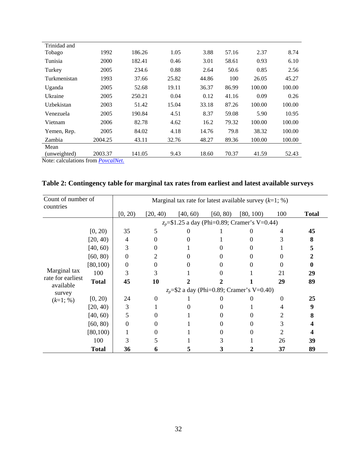| Trinidad and |         |        |       |       |       |        |        |
|--------------|---------|--------|-------|-------|-------|--------|--------|
| Tobago       | 1992    | 186.26 | 1.05  | 3.88  | 57.16 | 2.37   | 8.74   |
| Tunisia      | 2000    | 182.41 | 0.46  | 3.01  | 58.61 | 0.93   | 6.10   |
| Turkey       | 2005    | 234.6  | 0.88  | 2.64  | 50.6  | 0.85   | 2.56   |
| Turkmenistan | 1993    | 37.66  | 25.82 | 44.86 | 100   | 26.05  | 45.27  |
| Uganda       | 2005    | 52.68  | 19.11 | 36.37 | 86.99 | 100.00 | 100.00 |
| Ukraine      | 2005    | 250.21 | 0.04  | 0.12  | 41.16 | 0.09   | 0.26   |
| Uzbekistan   | 2003    | 51.42  | 15.04 | 33.18 | 87.26 | 100.00 | 100.00 |
| Venezuela    | 2005    | 190.84 | 4.51  | 8.37  | 59.08 | 5.90   | 10.95  |
| Vietnam      | 2006    | 82.78  | 4.62  | 16.2  | 79.32 | 100.00 | 100.00 |
| Yemen, Rep.  | 2005    | 84.02  | 4.18  | 14.76 | 79.8  | 38.32  | 100.00 |
| Zambia       | 2004.25 | 43.11  | 32.76 | 48.27 | 89.36 | 100.00 | 100.00 |
| Mean         |         |        |       |       |       |        |        |
| (unweighted) | 2003.37 | 141.05 | 9.43  | 18.60 | 70.37 | 41.59  | 52.43  |

Note: calculations from *PovcalNet*.

| Table 2: Contingency table for marginal tax rates from earliest and latest available surveys |  |  |
|----------------------------------------------------------------------------------------------|--|--|
|                                                                                              |  |  |

| Count of number of<br>countries          |              | Marginal tax rate for latest available survey $(k=1; \%)$ |          |          |          |           |                       |              |  |
|------------------------------------------|--------------|-----------------------------------------------------------|----------|----------|----------|-----------|-----------------------|--------------|--|
|                                          |              | [0, 20)                                                   | [20, 40) | [40, 60) | [60, 80) | [80, 100) | 100                   | <b>Total</b> |  |
|                                          |              | $z_p = $1.25$ a day (Phi=0.89; Cramer's V=0.44)           |          |          |          |           |                       |              |  |
|                                          | [0, 20)      | 35                                                        | 5        | $\theta$ |          |           | 4                     | 45           |  |
|                                          | [20, 40)     | $\overline{4}$                                            |          |          |          |           |                       | 8            |  |
|                                          | [40, 60)     | 3                                                         |          |          |          |           |                       | 5            |  |
|                                          | [60, 80)     | 0                                                         |          | 0        |          | 0         |                       | 2            |  |
|                                          | [80, 100)    | 0                                                         | 0        | 0        | $\Omega$ |           |                       | 0            |  |
| Marginal tax                             | 100          | 3                                                         | 3        |          |          |           | 21                    | 29           |  |
| rate for earliest<br>available<br>survey | <b>Total</b> | 45                                                        | 10       |          |          |           | 29                    | 89           |  |
|                                          |              | $z_p$ =\$2 a day (Phi=0.89; Cramer's V=0.40)              |          |          |          |           |                       |              |  |
| $(k=1; %)$                               | [0, 20)      | 24                                                        | $\Omega$ |          |          |           | 0                     | 25           |  |
|                                          | [20, 40)     | 3                                                         |          |          |          |           | 4                     | 9            |  |
|                                          | [40, 60)     | 5                                                         |          |          |          |           | 2                     | 8            |  |
|                                          | [60, 80)     | 0                                                         |          |          | 0        |           | 3                     |              |  |
|                                          | [80, 100)    |                                                           |          |          | 0        |           | $\mathcal{D}_{\cdot}$ |              |  |
|                                          | 100          | 3                                                         |          |          | 3        |           | 26                    | 39           |  |
|                                          | <b>Total</b> | 36                                                        |          | 5        | 3        |           | 37                    | 89           |  |